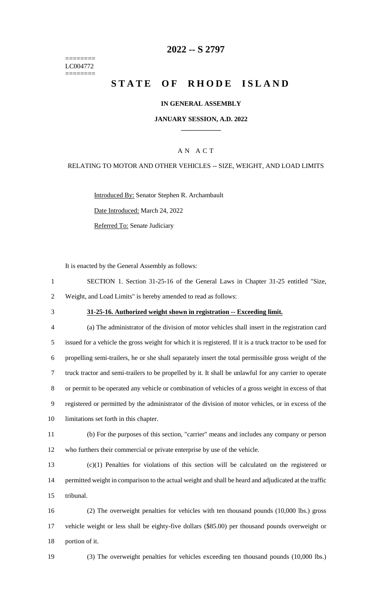======== LC004772 ========

### **-- S 2797**

# **STATE OF RHODE ISLAND**

### **IN GENERAL ASSEMBLY**

### **JANUARY SESSION, A.D. 2022 \_\_\_\_\_\_\_\_\_\_\_\_**

### A N A C T

### RELATING TO MOTOR AND OTHER VEHICLES -- SIZE, WEIGHT, AND LOAD LIMITS

Introduced By: Senator Stephen R. Archambault

Date Introduced: March 24, 2022

Referred To: Senate Judiciary

It is enacted by the General Assembly as follows:

|   | SECTION 1. Section 31-25-16 of the General Laws in Chapter 31-25 entitled "Size, |  |  |  |  |  |
|---|----------------------------------------------------------------------------------|--|--|--|--|--|
| 2 | Weight, and Load Limits" is hereby amended to read as follows:                   |  |  |  |  |  |

### **31-25-16. Authorized weight shown in registration -- Exceeding limit.**

| $\overline{4}$ | (a) The administrator of the division of motor vehicles shall insert in the registration card             |
|----------------|-----------------------------------------------------------------------------------------------------------|
| 5              | issued for a vehicle the gross weight for which it is registered. If it is a truck tractor to be used for |
| 6              | propelling semi-trailers, he or she shall separately insert the total permissible gross weight of the     |
|                | truck tractor and semi-trailers to be propelled by it. It shall be unlawful for any carrier to operate    |
| 8              | or permit to be operated any vehicle or combination of vehicles of a gross weight in excess of that       |
| 9              | registered or permitted by the administrator of the division of motor vehicles, or in excess of the       |
| 10             | limitations set forth in this chapter.                                                                    |

# (b) For the purposes of this section, "carrier" means and includes any company or person who furthers their commercial or private enterprise by use of the vehicle.

 (c)(1) Penalties for violations of this section will be calculated on the registered or permitted weight in comparison to the actual weight and shall be heard and adjudicated at the traffic tribunal.

 (2) The overweight penalties for vehicles with ten thousand pounds (10,000 lbs.) gross vehicle weight or less shall be eighty-five dollars (\$85.00) per thousand pounds overweight or portion of it.

(3) The overweight penalties for vehicles exceeding ten thousand pounds (10,000 lbs.)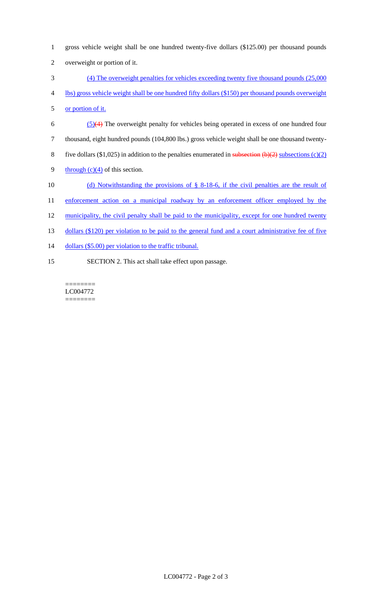| $\mathbf{1}$   | gross vehicle weight shall be one hundred twenty-five dollars (\$125.00) per thousand pounds                    |
|----------------|-----------------------------------------------------------------------------------------------------------------|
| $\overline{2}$ | overweight or portion of it.                                                                                    |
| 3              | $(4)$ The overweight penalties for vehicles exceeding twenty five thousand pounds $(25,000)$                    |
| 4              | lbs) gross vehicle weight shall be one hundred fifty dollars (\$150) per thousand pounds overweight             |
| 5              | or portion of it.                                                                                               |
| 6              | $(5)(4)$ The overweight penalty for vehicles being operated in excess of one hundred four                       |
| $\tau$         | thousand, eight hundred pounds (104,800 lbs.) gross vehicle weight shall be one thousand twenty-                |
| 8              | five dollars (\$1,025) in addition to the penalties enumerated in subsection ( $\Theta$ )(2) subsections (c)(2) |
| 9              | through $(c)(4)$ of this section.                                                                               |
| 10             | (d) Notwithstanding the provisions of $\S$ 8-18-6, if the civil penalties are the result of                     |
| 11             | enforcement action on a municipal roadway by an enforcement officer employed by the                             |
| 12             | municipality, the civil penalty shall be paid to the municipality, except for one hundred twenty                |
| 13             | dollars (\$120) per violation to be paid to the general fund and a court administrative fee of five             |
| 14             | dollars (\$5.00) per violation to the traffic tribunal.                                                         |
| 15             | SECTION 2. This act shall take effect upon passage.                                                             |

======== LC004772 ========